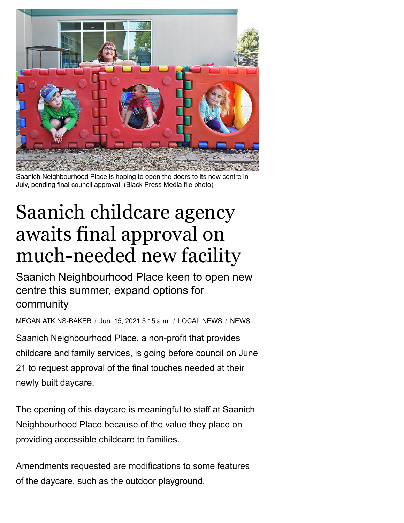

Saanich Neighbourhood Place is hoping to open the doors to its new centre in July, pending final council approval. (Black Press Media file photo)

## Saanich childcare agency awaits final approval on much-needed new facility

Saanich Neighbourhood Place keen to open new centre this summer, expand options for community

MEGAN [ATKINS-BAKER](https://www.saanichnews.com/author/megan-atkinsbaker/) / Jun. 15, 2021 5:15 a.m. / [LOCAL](https://www.saanichnews.com/local-news/) NEWS / [NEWS](https://www.saanichnews.com/news/)

Saanich Neighbourhood Place, a non-profit that provides childcare and family services, is going before council on June 21 to request approval of the final touches needed at their newly built daycare.

The opening of this daycare is meaningful to staff at Saanich Neighbourhood Place because of the value they place on providing accessible childcare to families.

Amendments requested are modifications to some features of the daycare, such as the outdoor playground.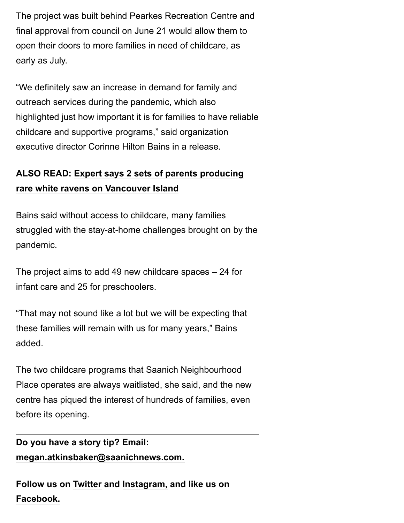The project was built behind Pearkes Recreation Centre and final approval from council on June 21 would allow them to open their doors to more families in need of childcare, as early as July.

"We definitely saw an increase in demand for family and outreach services during the pandemic, which also highlighted just how important it is for families to have reliable childcare and supportive programs," said organization executive director Corinne Hilton Bains in a release.

## **[ALSO READ: Expert says 2 sets of parents producing](https://www.saanichnews.com/trending-now/expert-says-2-sets-of-parents-producing-rare-white-ravens-on-vancouver-island/) rare white ravens on Vancouver Island**

Bains said without access to childcare, many families struggled with the stay-at-home challenges brought on by the pandemic.

The project aims to add 49 new childcare spaces – 24 for infant care and 25 for preschoolers.

"That may not sound like a lot but we will be expecting that these families will remain with us for many years," Bains added.

The two childcare programs that Saanich Neighbourhood Place operates are always waitlisted, she said, and the new centre has piqued the interest of hundreds of families, even before its opening.

## **Do you have a story tip? Email: [megan.atkinsbaker@saanichnews.com.](mailto:megan.atkinsbaker@saanichnews.com)**

**Follow us on [Twitter](http://www.twitter.com/SaanichNews) and [Instagram,](http://www.instagram.com/victoria_news/) and like us on [Facebook.](http://www.facebook.com/saanichnews/)**